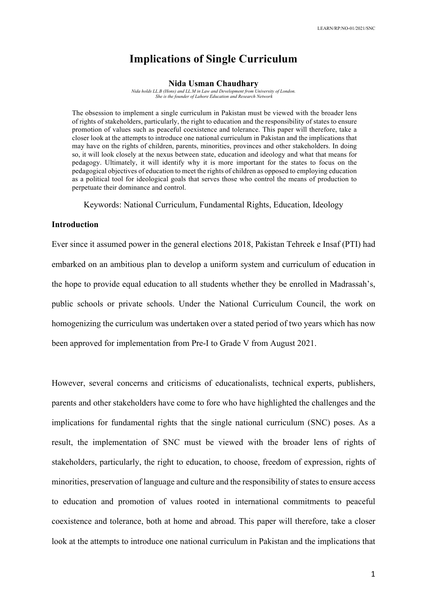## **Implications of Single Curriculum**

#### **Nida Usman Chaudhary**

*Nida holds LL.B (Hons) and LL.M in Law and Development from University of London. She is the founder of Lahore Education and Research Network*

The obsession to implement a single curriculum in Pakistan must be viewed with the broader lens of rights of stakeholders, particularly, the right to education and the responsibility of states to ensure promotion of values such as peaceful coexistence and tolerance. This paper will therefore, take a closer look at the attempts to introduce one national curriculum in Pakistan and the implications that may have on the rights of children, parents, minorities, provinces and other stakeholders. In doing so, it will look closely at the nexus between state, education and ideology and what that means for pedagogy. Ultimately, it will identify why it is more important for the states to focus on the pedagogical objectives of education to meet the rights of children as opposed to employing education as a political tool for ideological goals that serves those who control the means of production to perpetuate their dominance and control.

Keywords: National Curriculum, Fundamental Rights, Education, Ideology

## **Introduction**

Ever since it assumed power in the general elections 2018, Pakistan Tehreek e Insaf (PTI) had embarked on an ambitious plan to develop a uniform system and curriculum of education in the hope to provide equal education to all students whether they be enrolled in Madrassah's, public schools or private schools. Under the National Curriculum Council, the work on homogenizing the curriculum was undertaken over a stated period of two years which has now been approved for implementation from Pre-I to Grade V from August 2021.

However, several concerns and criticisms of educationalists, technical experts, publishers, parents and other stakeholders have come to fore who have highlighted the challenges and the implications for fundamental rights that the single national curriculum (SNC) poses. As a result, the implementation of SNC must be viewed with the broader lens of rights of stakeholders, particularly, the right to education, to choose, freedom of expression, rights of minorities, preservation of language and culture and the responsibility of states to ensure access to education and promotion of values rooted in international commitments to peaceful coexistence and tolerance, both at home and abroad. This paper will therefore, take a closer look at the attempts to introduce one national curriculum in Pakistan and the implications that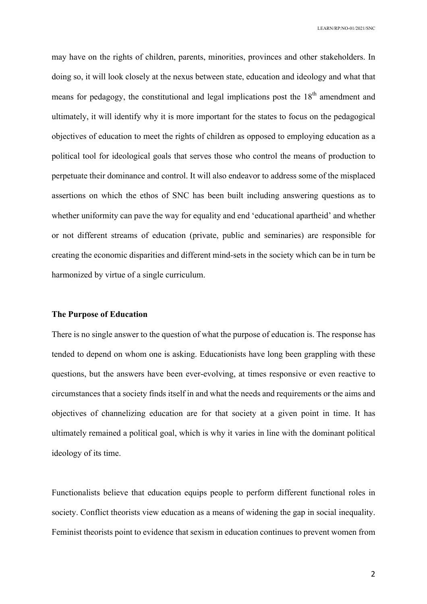may have on the rights of children, parents, minorities, provinces and other stakeholders. In doing so, it will look closely at the nexus between state, education and ideology and what that means for pedagogy, the constitutional and legal implications post the  $18<sup>th</sup>$  amendment and ultimately, it will identify why it is more important for the states to focus on the pedagogical objectives of education to meet the rights of children as opposed to employing education as a political tool for ideological goals that serves those who control the means of production to perpetuate their dominance and control. It will also endeavor to address some of the misplaced assertions on which the ethos of SNC has been built including answering questions as to whether uniformity can pave the way for equality and end 'educational apartheid' and whether or not different streams of education (private, public and seminaries) are responsible for creating the economic disparities and different mind-sets in the society which can be in turn be harmonized by virtue of a single curriculum.

## **The Purpose of Education**

There is no single answer to the question of what the purpose of education is. The response has tended to depend on whom one is asking. Educationists have long been grappling with these questions, but the answers have been ever-evolving, at times responsive or even reactive to circumstances that a society finds itself in and what the needs and requirements or the aims and objectives of channelizing education are for that society at a given point in time. It has ultimately remained a political goal, which is why it varies in line with the dominant political ideology of its time.

Functionalists believe that education equips people to perform different functional roles in society. Conflict theorists view education as a means of widening the gap in social inequality. Feminist theorists point to evidence that sexism in education continues to prevent women from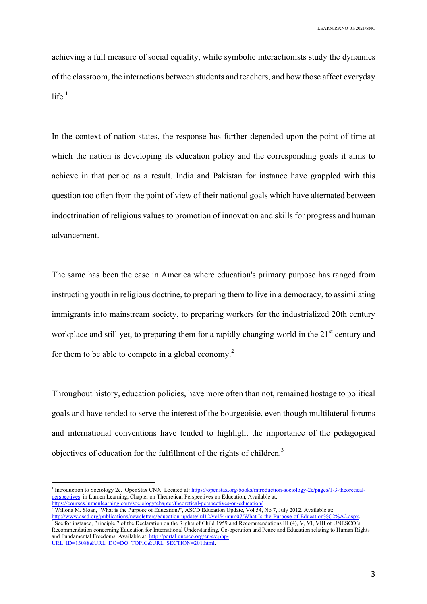achieving a full measure of social equality, while symbolic interactionists study the dynamics of the classroom, the interactions between students and teachers, and how those affect everyday  $life.$ <sup>1</sup>

In the context of nation states, the response has further depended upon the point of time at which the nation is developing its education policy and the corresponding goals it aims to achieve in that period as a result. India and Pakistan for instance have grappled with this question too often from the point of view of their national goals which have alternated between indoctrination of religious values to promotion of innovation and skills for progress and human advancement.

The same has been the case in America where education's primary purpose has ranged from instructing youth in religious doctrine, to preparing them to live in a democracy, to assimilating immigrants into mainstream society, to preparing workers for the industrialized 20th century workplace and still yet, to preparing them for a rapidly changing world in the 21<sup>st</sup> century and for them to be able to compete in a global economy.<sup>2</sup>

Throughout history, education policies, have more often than not, remained hostage to political goals and have tended to serve the interest of the bourgeoisie, even though multilateral forums and international conventions have tended to highlight the importance of the pedagogical objectives of education for the fulfillment of the rights of children.<sup>3</sup>

 $2$  Willona M. Sloan, 'What is the Purpose of Education?', ASCD Education Update, Vol 54, No 7, July 2012. Available at: http://www.ascd.org/publications/newsletters/education-update/jul12/vol54/num07/What-Is-the-Purpose-of-Education%C2%A2.aspx.<br><sup>3</sup> See for instance, Principle 7 of the Declaration on the Rights of Child 1959 and Recommendati Recommendation concerning Education for International Understanding, Co-operation and Peace and Education relating to Human Rights and Fundamental Freedoms. Available at: http://portal.unesco.org/en/ev.php-URL\_ID=13088&URL\_DO=DO\_TOPIC&URL\_SECTION=201.html.

<sup>&</sup>lt;sup>1</sup> Introduction to Sociology 2e. OpenStax CNX. Located at: https://openstax.org/books/introduction-sociology-2e/pages/1-3-theoreticalperspectives in Lumen Learning, Chapter on Theoretical Perspectives on Education, Available at:

https://courses.lumenlearning.com/sociology/chapter/theoretical-perspectives-on-education/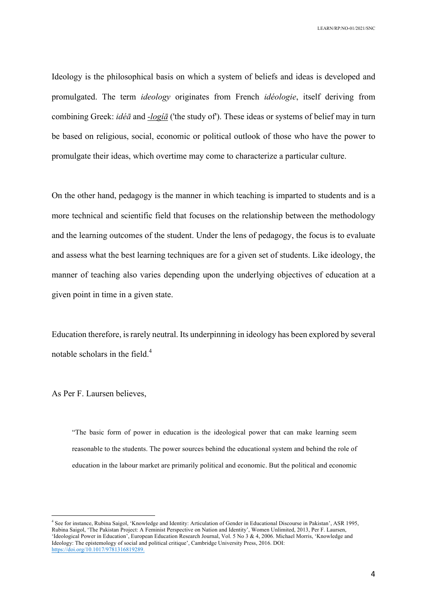Ideology is the philosophical basis on which a system of beliefs and ideas is developed and promulgated. The term *ideology* originates from French *idéologie*, itself deriving from combining Greek: *idéā* and *-logíā* ('the study of'). These ideas or systems of belief may in turn be based on religious, social, economic or political outlook of those who have the power to promulgate their ideas, which overtime may come to characterize a particular culture.

On the other hand, pedagogy is the manner in which teaching is imparted to students and is a more technical and scientific field that focuses on the relationship between the methodology and the learning outcomes of the student. Under the lens of pedagogy, the focus is to evaluate and assess what the best learning techniques are for a given set of students. Like ideology, the manner of teaching also varies depending upon the underlying objectives of education at a given point in time in a given state.

Education therefore, is rarely neutral. Its underpinning in ideology has been explored by several notable scholars in the field.<sup>4</sup>

As Per F. Laursen believes,

"The basic form of power in education is the ideological power that can make learning seem reasonable to the students. The power sources behind the educational system and behind the role of education in the labour market are primarily political and economic. But the political and economic

 <sup>4</sup> See for instance, Rubina Saigol, 'Knowledge and Identity: Articulation of Gender in Educational Discourse in Pakistan', ASR 1995, Rubina Saigol, 'The Pakistan Project: A Feminist Perspective on Nation and Identity', Women Unlimited, 2013, Per F. Laursen, 'Ideological Power in Education', European Education Research Journal, Vol. 5 No 3 & 4, 2006. Michael Morris, 'Knowledge and Ideology: The epistemology of social and political critique', Cambridge University Press, 2016. DOI: https://doi.org/10.1017/9781316819289.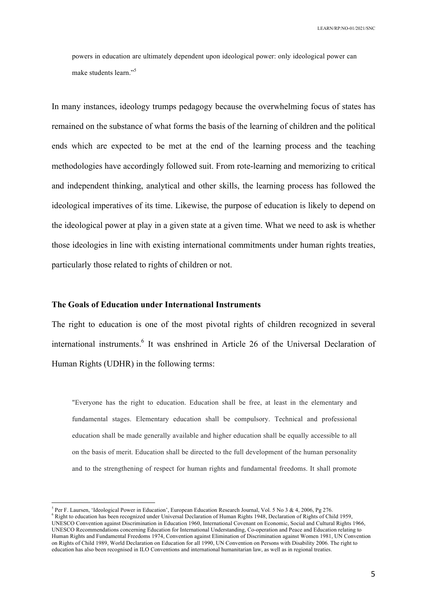powers in education are ultimately dependent upon ideological power: only ideological power can make students learn." 5

In many instances, ideology trumps pedagogy because the overwhelming focus of states has remained on the substance of what forms the basis of the learning of children and the political ends which are expected to be met at the end of the learning process and the teaching methodologies have accordingly followed suit. From rote-learning and memorizing to critical and independent thinking, analytical and other skills, the learning process has followed the ideological imperatives of its time. Likewise, the purpose of education is likely to depend on the ideological power at play in a given state at a given time. What we need to ask is whether those ideologies in line with existing international commitments under human rights treaties, particularly those related to rights of children or not.

## **The Goals of Education under International Instruments**

The right to education is one of the most pivotal rights of children recognized in several international instruments.<sup>6</sup> It was enshrined in Article 26 of the Universal Declaration of Human Rights (UDHR) in the following terms:

"Everyone has the right to education. Education shall be free, at least in the elementary and fundamental stages. Elementary education shall be compulsory. Technical and professional education shall be made generally available and higher education shall be equally accessible to all on the basis of merit. Education shall be directed to the full development of the human personality and to the strengthening of respect for human rights and fundamental freedoms. It shall promote

<sup>6</sup> Right to education has been recognized under Universal Declaration of Human Rights 1948, Declaration of Rights of Child 1959, UNESCO Convention against Discrimination in Education 1960, International Covenant on Economic, Social and Cultural Rights 1966, UNESCO Recommendations concerning Education for International Understanding, Co-operation and Peace and Education relating to Human Rights and Fundamental Freedoms 1974, Convention against Elimination of Discrimination against Women 1981, UN Convention on Rights of Child 1989, World Declaration on Education for all 1990, UN Convention on Persons with Disability 2006. The right to education has also been recognised in ILO Conventions and international humanitarian law, as well as in regional treaties.

 <sup>5</sup> Per F. Laursen, 'Ideological Power in Education', European Education Research Journal, Vol. 5 No 3 & 4, 2006, Pg 276.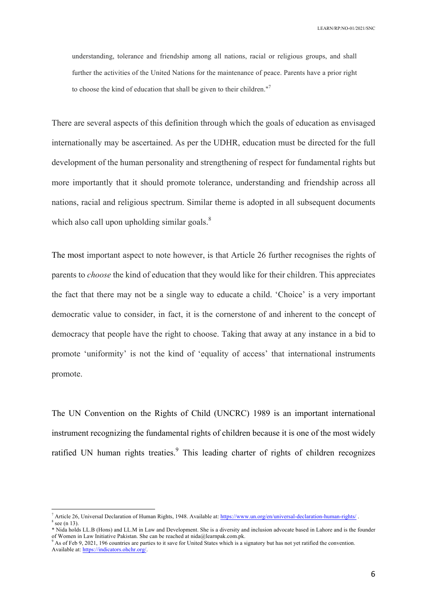understanding, tolerance and friendship among all nations, racial or religious groups, and shall further the activities of the United Nations for the maintenance of peace. Parents have a prior right to choose the kind of education that shall be given to their children."<sup>7</sup>

There are several aspects of this definition through which the goals of education as envisaged internationally may be ascertained. As per the UDHR, education must be directed for the full development of the human personality and strengthening of respect for fundamental rights but more importantly that it should promote tolerance, understanding and friendship across all nations, racial and religious spectrum. Similar theme is adopted in all subsequent documents which also call upon upholding similar goals. $8$ 

The most important aspect to note however, is that Article 26 further recognises the rights of parents to *choose* the kind of education that they would like for their children. This appreciates the fact that there may not be a single way to educate a child. 'Choice' is a very important democratic value to consider, in fact, it is the cornerstone of and inherent to the concept of democracy that people have the right to choose. Taking that away at any instance in a bid to promote 'uniformity' is not the kind of 'equality of access' that international instruments promote.

The UN Convention on the Rights of Child (UNCRC) 1989 is an important international instrument recognizing the fundamental rights of children because it is one of the most widely ratified UN human rights treaties.<sup>9</sup> This leading charter of rights of children recognizes

 <sup>7</sup> Article 26, Universal Declaration of Human Rights, 1948. Available at: https://www.un.org/en/universal-declaration-human-rights/ .  $\frac{8}{3}$  see (n 13).

<sup>\*</sup> Nida holds LL.B (Hons) and LL.M in Law and Development. She is a diversity and inclusion advocate based in Lahore and is the founder of Women in Law Initiative Pakistan. She can be reached at nida@learnpak.com.pk.

As of Feb 9, 2021, 196 countries are parties to it save for United States which is a signatory but has not yet ratified the convention. Available at: https://indicators.ohchr.org/.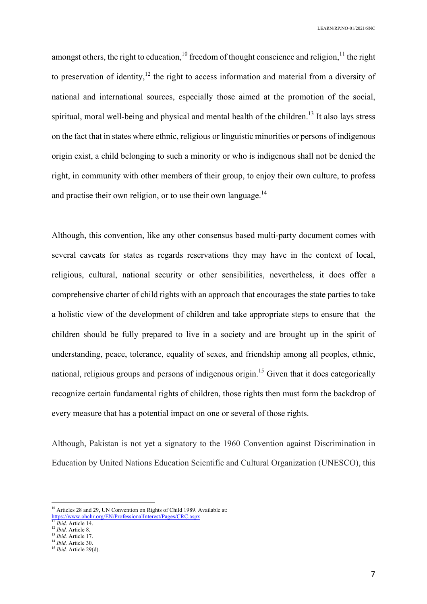amongst others, the right to education,<sup>10</sup> freedom of thought conscience and religion,<sup>11</sup> the right to preservation of identity,<sup>12</sup> the right to access information and material from a diversity of national and international sources, especially those aimed at the promotion of the social, spiritual, moral well-being and physical and mental health of the children.<sup>13</sup> It also lays stress on the fact that in states where ethnic, religious or linguistic minorities or persons of indigenous origin exist, a child belonging to such a minority or who is indigenous shall not be denied the right, in community with other members of their group, to enjoy their own culture, to profess and practise their own religion, or to use their own language.<sup>14</sup>

Although, this convention, like any other consensus based multi-party document comes with several caveats for states as regards reservations they may have in the context of local, religious, cultural, national security or other sensibilities, nevertheless, it does offer a comprehensive charter of child rights with an approach that encourages the state parties to take a holistic view of the development of children and take appropriate steps to ensure that the children should be fully prepared to live in a society and are brought up in the spirit of understanding, peace, tolerance, equality of sexes, and friendship among all peoples, ethnic, national, religious groups and persons of indigenous origin.<sup>15</sup> Given that it does categorically recognize certain fundamental rights of children, those rights then must form the backdrop of every measure that has a potential impact on one or several of those rights.

Although, Pakistan is not yet a signatory to the 1960 Convention against Discrimination in Education by United Nations Education Scientific and Cultural Organization (UNESCO), this

<sup>&</sup>lt;sup>10</sup> Articles 28 and 29, UN Convention on Rights of Child 1989. Available at: https://www.ohchr.org/EN/ProfessionalInterest/Pages/CRC.aspx

<sup>11</sup> *Ibid*. Article 14.

<sup>12</sup> *Ibid.* Article 8. <sup>13</sup> *Ibid.* Article 17.

<sup>14</sup> *Ibid.* Article 30.

<sup>&</sup>lt;sup>15</sup> *Ibid.* Article 29(d).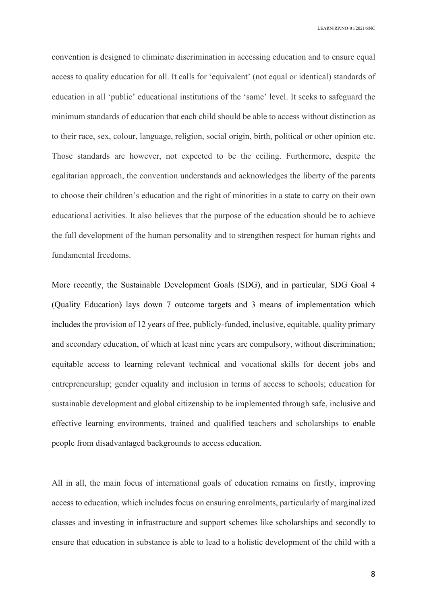convention is designed to eliminate discrimination in accessing education and to ensure equal access to quality education for all. It calls for 'equivalent' (not equal or identical) standards of education in all 'public' educational institutions of the 'same' level. It seeks to safeguard the minimum standards of education that each child should be able to access without distinction as to their race, sex, colour, language, religion, social origin, birth, political or other opinion etc. Those standards are however, not expected to be the ceiling. Furthermore, despite the egalitarian approach, the convention understands and acknowledges the liberty of the parents to choose their children's education and the right of minorities in a state to carry on their own educational activities. It also believes that the purpose of the education should be to achieve the full development of the human personality and to strengthen respect for human rights and fundamental freedoms.

More recently, the Sustainable Development Goals (SDG), and in particular, SDG Goal 4 (Quality Education) lays down 7 outcome targets and 3 means of implementation which includes the provision of 12 years of free, publicly-funded, inclusive, equitable, quality primary and secondary education, of which at least nine years are compulsory, without discrimination; equitable access to learning relevant technical and vocational skills for decent jobs and entrepreneurship; gender equality and inclusion in terms of access to schools; education for sustainable development and global citizenship to be implemented through safe, inclusive and effective learning environments, trained and qualified teachers and scholarships to enable people from disadvantaged backgrounds to access education.

All in all, the main focus of international goals of education remains on firstly, improving access to education, which includes focus on ensuring enrolments, particularly of marginalized classes and investing in infrastructure and support schemes like scholarships and secondly to ensure that education in substance is able to lead to a holistic development of the child with a

8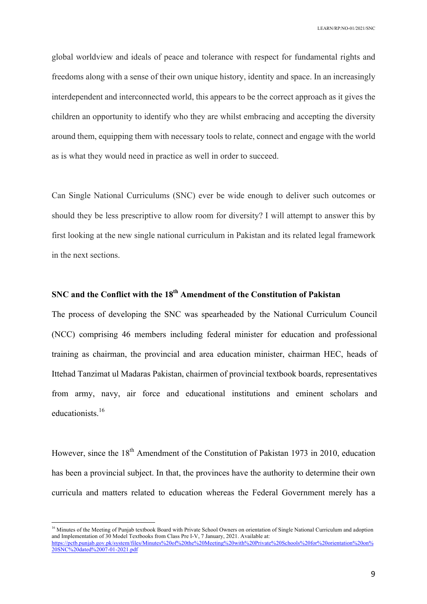global worldview and ideals of peace and tolerance with respect for fundamental rights and freedoms along with a sense of their own unique history, identity and space. In an increasingly interdependent and interconnected world, this appears to be the correct approach as it gives the children an opportunity to identify who they are whilst embracing and accepting the diversity around them, equipping them with necessary tools to relate, connect and engage with the world as is what they would need in practice as well in order to succeed.

Can Single National Curriculums (SNC) ever be wide enough to deliver such outcomes or should they be less prescriptive to allow room for diversity? I will attempt to answer this by first looking at the new single national curriculum in Pakistan and its related legal framework in the next sections.

# **SNC and the Conflict with the 18th Amendment of the Constitution of Pakistan**

The process of developing the SNC was spearheaded by the National Curriculum Council (NCC) comprising 46 members including federal minister for education and professional training as chairman, the provincial and area education minister, chairman HEC, heads of Ittehad Tanzimat ul Madaras Pakistan, chairmen of provincial textbook boards, representatives from army, navy, air force and educational institutions and eminent scholars and educationists<sup>16</sup>

However, since the 18<sup>th</sup> Amendment of the Constitution of Pakistan 1973 in 2010, education has been a provincial subject. In that, the provinces have the authority to determine their own curricula and matters related to education whereas the Federal Government merely has a

<sup>&</sup>lt;sup>16</sup> Minutes of the Meeting of Punjab textbook Board with Private School Owners on orientation of Single National Curriculum and adoption and Implementation of 30 Model Textbooks from Class Pre I-V, 7 January, 2021. Available at: https://pctb.punjab.gov.pk/system/files/Minutes%20of%20the%20Meeting%20with%20Private%20Schools%20for%20orientation%20on% 20SNC%20dated%2007-01-2021.pdf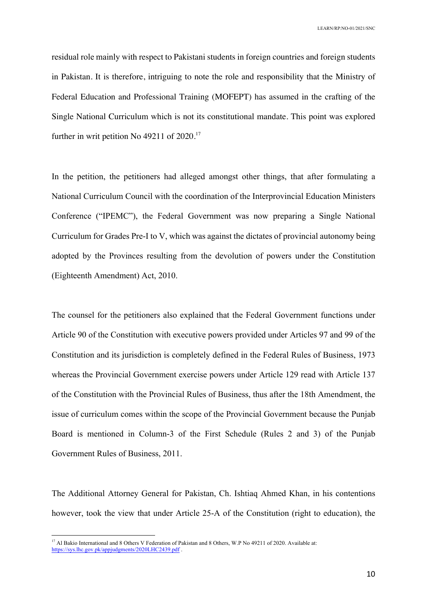residual role mainly with respect to Pakistani students in foreign countries and foreign students in Pakistan. It is therefore, intriguing to note the role and responsibility that the Ministry of Federal Education and Professional Training (MOFEPT) has assumed in the crafting of the Single National Curriculum which is not its constitutional mandate. This point was explored further in writ petition No 49211 of 2020.<sup>17</sup>

In the petition, the petitioners had alleged amongst other things, that after formulating a National Curriculum Council with the coordination of the Interprovincial Education Ministers Conference ("IPEMC"), the Federal Government was now preparing a Single National Curriculum for Grades Pre-I to V, which was against the dictates of provincial autonomy being adopted by the Provinces resulting from the devolution of powers under the Constitution (Eighteenth Amendment) Act, 2010.

The counsel for the petitioners also explained that the Federal Government functions under Article 90 of the Constitution with executive powers provided under Articles 97 and 99 of the Constitution and its jurisdiction is completely defined in the Federal Rules of Business, 1973 whereas the Provincial Government exercise powers under Article 129 read with Article 137 of the Constitution with the Provincial Rules of Business, thus after the 18th Amendment, the issue of curriculum comes within the scope of the Provincial Government because the Punjab Board is mentioned in Column-3 of the First Schedule (Rules 2 and 3) of the Punjab Government Rules of Business, 2011.

The Additional Attorney General for Pakistan, Ch. Ishtiaq Ahmed Khan, in his contentions however, took the view that under Article 25-A of the Constitution (right to education), the

<sup>&</sup>lt;sup>17</sup> Al Bakio International and 8 Others V Federation of Pakistan and 8 Others, W.P No 49211 of 2020. Available at: https://sys.lhc.gov.pk/appjudgments/2020LHC2439.pdf .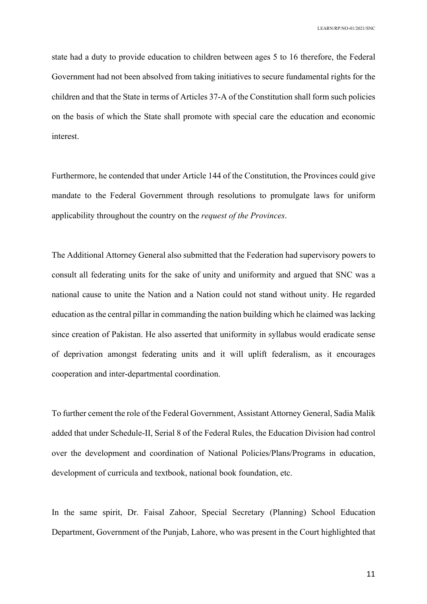state had a duty to provide education to children between ages 5 to 16 therefore, the Federal Government had not been absolved from taking initiatives to secure fundamental rights for the children and that the State in terms of Articles 37-A of the Constitution shall form such policies on the basis of which the State shall promote with special care the education and economic interest.

Furthermore, he contended that under Article 144 of the Constitution, the Provinces could give mandate to the Federal Government through resolutions to promulgate laws for uniform applicability throughout the country on the *request of the Provinces*.

The Additional Attorney General also submitted that the Federation had supervisory powers to consult all federating units for the sake of unity and uniformity and argued that SNC was a national cause to unite the Nation and a Nation could not stand without unity. He regarded education as the central pillar in commanding the nation building which he claimed was lacking since creation of Pakistan. He also asserted that uniformity in syllabus would eradicate sense of deprivation amongst federating units and it will uplift federalism, as it encourages cooperation and inter-departmental coordination.

To further cement the role of the Federal Government, Assistant Attorney General, Sadia Malik added that under Schedule-II, Serial 8 of the Federal Rules, the Education Division had control over the development and coordination of National Policies/Plans/Programs in education, development of curricula and textbook, national book foundation, etc.

In the same spirit, Dr. Faisal Zahoor, Special Secretary (Planning) School Education Department, Government of the Punjab, Lahore, who was present in the Court highlighted that

11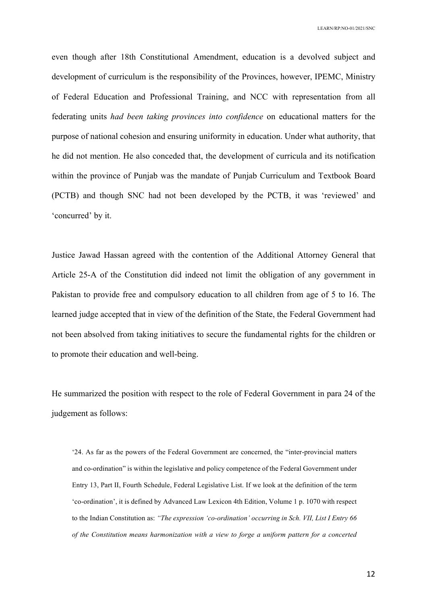even though after 18th Constitutional Amendment, education is a devolved subject and development of curriculum is the responsibility of the Provinces, however, IPEMC, Ministry of Federal Education and Professional Training, and NCC with representation from all federating units *had been taking provinces into confidence* on educational matters for the purpose of national cohesion and ensuring uniformity in education. Under what authority, that he did not mention. He also conceded that, the development of curricula and its notification within the province of Punjab was the mandate of Punjab Curriculum and Textbook Board (PCTB) and though SNC had not been developed by the PCTB, it was 'reviewed' and 'concurred' by it.

Justice Jawad Hassan agreed with the contention of the Additional Attorney General that Article 25-A of the Constitution did indeed not limit the obligation of any government in Pakistan to provide free and compulsory education to all children from age of 5 to 16. The learned judge accepted that in view of the definition of the State, the Federal Government had not been absolved from taking initiatives to secure the fundamental rights for the children or to promote their education and well-being.

He summarized the position with respect to the role of Federal Government in para 24 of the judgement as follows:

'24. As far as the powers of the Federal Government are concerned, the "inter-provincial matters and co-ordination" is within the legislative and policy competence of the Federal Government under Entry 13, Part II, Fourth Schedule, Federal Legislative List. If we look at the definition of the term 'co-ordination', it is defined by Advanced Law Lexicon 4th Edition, Volume 1 p. 1070 with respect to the Indian Constitution as: *"The expression 'co-ordination' occurring in Sch. VII, List I Entry 66 of the Constitution means harmonization with a view to forge a uniform pattern for a concerted*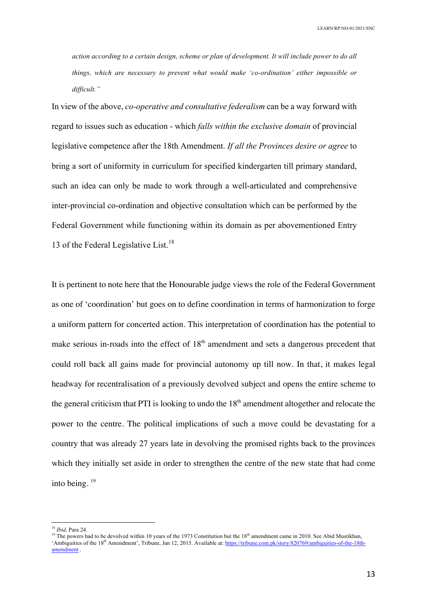*action according to a certain design, scheme or plan of development. It will include power to do all things, which are necessary to prevent what would make 'co-ordination' either impossible or difficult."* 

In view of the above, *co-operative and consultative federalism* can be a way forward with regard to issues such as education - which *falls within the exclusive domain* of provincial legislative competence after the 18th Amendment. *If all the Provinces desire or agree* to bring a sort of uniformity in curriculum for specified kindergarten till primary standard, such an idea can only be made to work through a well-articulated and comprehensive inter-provincial co-ordination and objective consultation which can be performed by the Federal Government while functioning within its domain as per abovementioned Entry 13 of the Federal Legislative List.<sup>18</sup>

It is pertinent to note here that the Honourable judge views the role of the Federal Government as one of 'coordination' but goes on to define coordination in terms of harmonization to forge a uniform pattern for concerted action. This interpretation of coordination has the potential to make serious in-roads into the effect of  $18<sup>th</sup>$  amendment and sets a dangerous precedent that could roll back all gains made for provincial autonomy up till now. In that, it makes legal headway for recentralisation of a previously devolved subject and opens the entire scheme to the general criticism that PTI is looking to undo the  $18<sup>th</sup>$  amendment altogether and relocate the power to the centre. The political implications of such a move could be devastating for a country that was already 27 years late in devolving the promised rights back to the provinces which they initially set aside in order to strengthen the centre of the new state that had come into being. 19

 <sup>18</sup> *Ibid,* Para 24.

<sup>&</sup>lt;sup>19</sup> The powers had to be devolved within 10 years of the 1973 Constitution but the  $18<sup>th</sup>$  amendment came in 2010. See Abid Mustikhan, 'Ambiguities of the 18<sup>th</sup> Amendment', Tribune, Jan 12, 2015. Available at: https://tribune.com.pk/story/820769/ambiguities-of-the-18thamendment .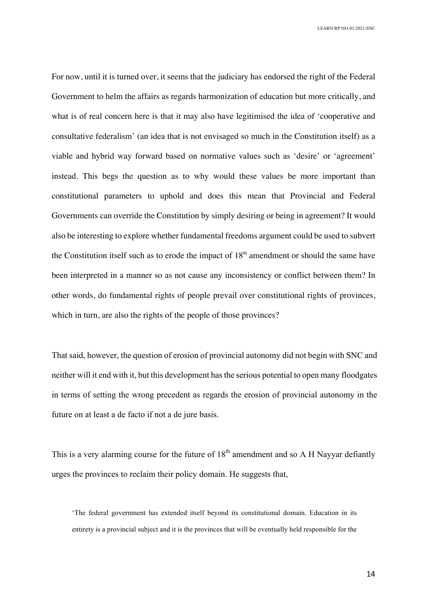For now, until it is turned over, it seems that the judiciary has endorsed the right of the Federal Government to helm the affairs as regards harmonization of education but more critically, and what is of real concern here is that it may also have legitimised the idea of 'cooperative and consultative federalism' (an idea that is not envisaged so much in the Constitution itself) as a viable and hybrid way forward based on normative values such as 'desire' or 'agreement' instead. This begs the question as to why would these values be more important than constitutional parameters to uphold and does this mean that Provincial and Federal Governments can override the Constitution by simply desiring or being in agreement? It would also be interesting to explore whether fundamental freedoms argument could be used to subvert the Constitution itself such as to erode the impact of  $18<sup>th</sup>$  amendment or should the same have been interpreted in a manner so as not cause any inconsistency or conflict between them? In other words, do fundamental rights of people prevail over constitutional rights of provinces, which in turn, are also the rights of the people of those provinces?

That said, however, the question of erosion of provincial autonomy did not begin with SNC and neither will it end with it, but this development has the serious potential to open many floodgates in terms of setting the wrong precedent as regards the erosion of provincial autonomy in the future on at least a de facto if not a de jure basis.

This is a very alarming course for the future of  $18<sup>th</sup>$  amendment and so A H Nayyar defiantly urges the provinces to reclaim their policy domain. He suggests that,

'The federal government has extended itself beyond its constitutional domain. Education in its entirety is a provincial subject and it is the provinces that will be eventually held responsible for the

14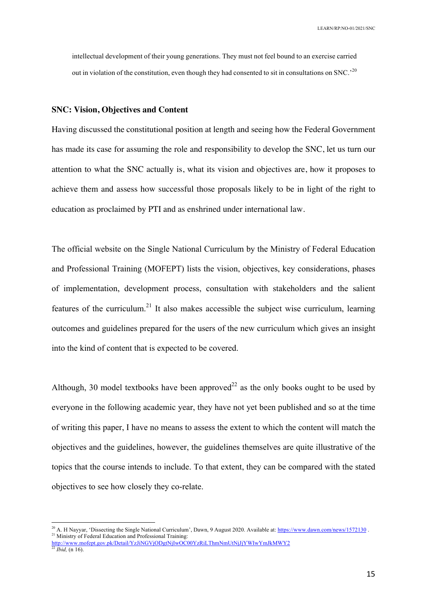intellectual development of their young generations. They must not feel bound to an exercise carried out in violation of the constitution, even though they had consented to sit in consultations on SNC.'<sup>20</sup>

### **SNC: Vision, Objectives and Content**

Having discussed the constitutional position at length and seeing how the Federal Government has made its case for assuming the role and responsibility to develop the SNC, let us turn our attention to what the SNC actually is, what its vision and objectives are, how it proposes to achieve them and assess how successful those proposals likely to be in light of the right to education as proclaimed by PTI and as enshrined under international law.

The official website on the Single National Curriculum by the Ministry of Federal Education and Professional Training (MOFEPT) lists the vision, objectives, key considerations, phases of implementation, development process, consultation with stakeholders and the salient features of the curriculum.<sup>21</sup> It also makes accessible the subject wise curriculum, learning outcomes and guidelines prepared for the users of the new curriculum which gives an insight into the kind of content that is expected to be covered.

Although, 30 model textbooks have been approved<sup>22</sup> as the only books ought to be used by everyone in the following academic year, they have not yet been published and so at the time of writing this paper, I have no means to assess the extent to which the content will match the objectives and the guidelines, however, the guidelines themselves are quite illustrative of the topics that the course intends to include. To that extent, they can be compared with the stated objectives to see how closely they co-relate.

<sup>&</sup>lt;sup>20</sup> A. H Nayyar, 'Dissecting the Single National Curriculum', Dawn, 9 August 2020. Available at: https://www.dawn.com/news/1572130. <sup>21</sup> Ministry of Federal Education and Professional Training:

http://www.mofept.gov.pk/Detail/YzJiNGVjODgtNjIwOC00YzRiLThmNmUtNjJjYWIwYmJkMWY2  $^{22}$ *Ibid,* (n 16).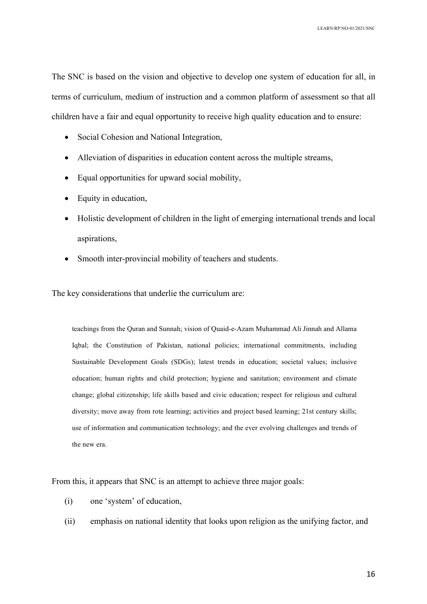The SNC is based on the vision and objective to develop one system of education for all, in terms of curriculum, medium of instruction and a common platform of assessment so that all children have a fair and equal opportunity to receive high quality education and to ensure:

- Social Cohesion and National Integration,
- Alleviation of disparities in education content across the multiple streams,
- Equal opportunities for upward social mobility,
- Equity in education,
- Holistic development of children in the light of emerging international trends and local aspirations,
- Smooth inter-provincial mobility of teachers and students.

The key considerations that underlie the curriculum are:

teachings from the Quran and Sunnah; vision of Quaid-e-Azam Muhammad Ali Jinnah and Allama Iqbal; the Constitution of Pakistan, national policies; international commitments, including Sustainable Development Goals (SDGs); latest trends in education; societal values; inclusive education; human rights and child protection; hygiene and sanitation; environment and climate change; global citizenship; life skills based and civic education; respect for religious and cultural diversity; move away from rote learning; activities and project based learning; 21st century skills; use of information and communication technology; and the ever evolving challenges and trends of the new era.

From this, it appears that SNC is an attempt to achieve three major goals:

- (i) one 'system' of education,
- (ii) emphasis on national identity that looks upon religion as the unifying factor, and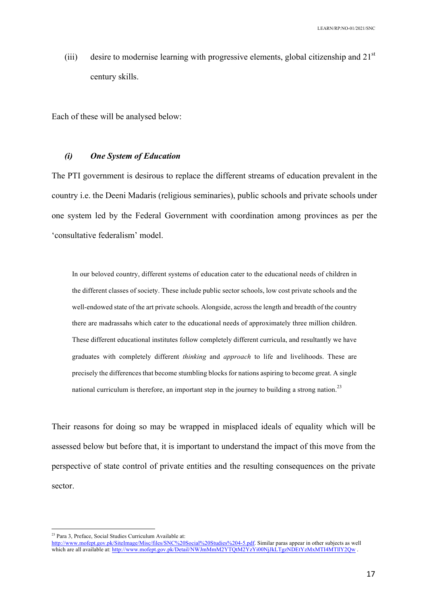(iii) desire to modernise learning with progressive elements, global citizenship and  $21<sup>st</sup>$ century skills.

Each of these will be analysed below:

## *(i) One System of Education*

The PTI government is desirous to replace the different streams of education prevalent in the country i.e. the Deeni Madaris (religious seminaries), public schools and private schools under one system led by the Federal Government with coordination among provinces as per the 'consultative federalism' model.

In our beloved country, different systems of education cater to the educational needs of children in the different classes of society. These include public sector schools, low cost private schools and the well-endowed state of the art private schools. Alongside, across the length and breadth of the country there are madrassahs which cater to the educational needs of approximately three million children. These different educational institutes follow completely different curricula, and resultantly we have graduates with completely different *thinking* and *approach* to life and livelihoods. These are precisely the differences that become stumbling blocks for nations aspiring to become great. A single national curriculum is therefore, an important step in the journey to building a strong nation.<sup>23</sup>

Their reasons for doing so may be wrapped in misplaced ideals of equality which will be assessed below but before that, it is important to understand the impact of this move from the perspective of state control of private entities and the resulting consequences on the private sector.

 <sup>23</sup> Para 3, Preface, Social Studies Curriculum Available at:

http://www.mofept.gov.pk/SiteImage/Misc/files/SNC%20Social%20Studies%204-5.pdf. Similar paras appear in other subjects as well which are all available at: http://www.mofept.gov.pk/Detail/NWJmMmM2YTQtM2YzYi00NjJkLTgzNDEtYzMxMTI4MTllY2Qw .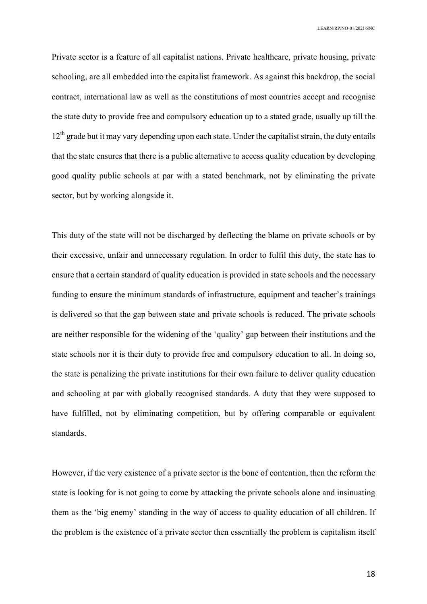Private sector is a feature of all capitalist nations. Private healthcare, private housing, private schooling, are all embedded into the capitalist framework. As against this backdrop, the social contract, international law as well as the constitutions of most countries accept and recognise the state duty to provide free and compulsory education up to a stated grade, usually up till the  $12<sup>th</sup>$  grade but it may vary depending upon each state. Under the capitalist strain, the duty entails that the state ensures that there is a public alternative to access quality education by developing good quality public schools at par with a stated benchmark, not by eliminating the private sector, but by working alongside it.

This duty of the state will not be discharged by deflecting the blame on private schools or by their excessive, unfair and unnecessary regulation. In order to fulfil this duty, the state has to ensure that a certain standard of quality education is provided in state schools and the necessary funding to ensure the minimum standards of infrastructure, equipment and teacher's trainings is delivered so that the gap between state and private schools is reduced. The private schools are neither responsible for the widening of the 'quality' gap between their institutions and the state schools nor it is their duty to provide free and compulsory education to all. In doing so, the state is penalizing the private institutions for their own failure to deliver quality education and schooling at par with globally recognised standards. A duty that they were supposed to have fulfilled, not by eliminating competition, but by offering comparable or equivalent standards.

However, if the very existence of a private sector is the bone of contention, then the reform the state is looking for is not going to come by attacking the private schools alone and insinuating them as the 'big enemy' standing in the way of access to quality education of all children. If the problem is the existence of a private sector then essentially the problem is capitalism itself

18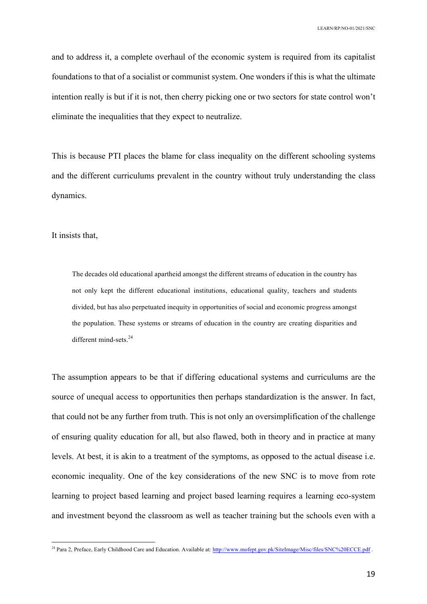and to address it, a complete overhaul of the economic system is required from its capitalist foundations to that of a socialist or communist system. One wonders if this is what the ultimate intention really is but if it is not, then cherry picking one or two sectors for state control won't eliminate the inequalities that they expect to neutralize.

This is because PTI places the blame for class inequality on the different schooling systems and the different curriculums prevalent in the country without truly understanding the class dynamics.

It insists that,

The decades old educational apartheid amongst the different streams of education in the country has not only kept the different educational institutions, educational quality, teachers and students divided, but has also perpetuated inequity in opportunities of social and economic progress amongst the population. These systems or streams of education in the country are creating disparities and different mind-sets.<sup>24</sup>

The assumption appears to be that if differing educational systems and curriculums are the source of unequal access to opportunities then perhaps standardization is the answer. In fact, that could not be any further from truth. This is not only an oversimplification of the challenge of ensuring quality education for all, but also flawed, both in theory and in practice at many levels. At best, it is akin to a treatment of the symptoms, as opposed to the actual disease i.e. economic inequality. One of the key considerations of the new SNC is to move from rote learning to project based learning and project based learning requires a learning eco-system and investment beyond the classroom as well as teacher training but the schools even with a

<sup>&</sup>lt;sup>24</sup> Para 2, Preface, Early Childhood Care and Education. Available at: http://www.mofept.gov.pk/SiteImage/Misc/files/SNC%20ECCE.pdf .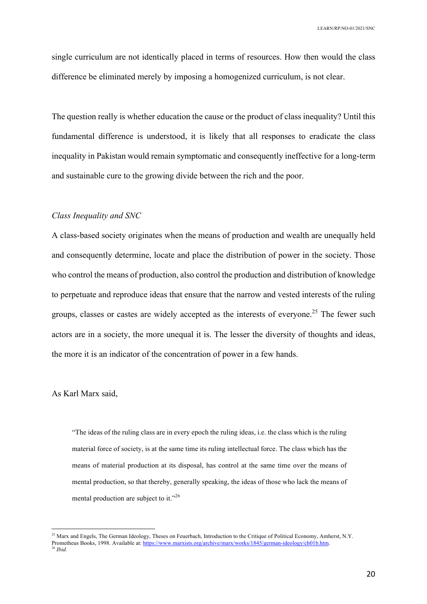single curriculum are not identically placed in terms of resources. How then would the class difference be eliminated merely by imposing a homogenized curriculum, is not clear.

The question really is whether education the cause or the product of class inequality? Until this fundamental difference is understood, it is likely that all responses to eradicate the class inequality in Pakistan would remain symptomatic and consequently ineffective for a long-term and sustainable cure to the growing divide between the rich and the poor.

## *Class Inequality and SNC*

A class-based society originates when the means of production and wealth are unequally held and consequently determine, locate and place the distribution of power in the society. Those who control the means of production, also control the production and distribution of knowledge to perpetuate and reproduce ideas that ensure that the narrow and vested interests of the ruling groups, classes or castes are widely accepted as the interests of everyone.<sup>25</sup> The fewer such actors are in a society, the more unequal it is. The lesser the diversity of thoughts and ideas, the more it is an indicator of the concentration of power in a few hands.

As Karl Marx said,

"The ideas of the ruling class are in every epoch the ruling ideas, i.e. the class which is the ruling material force of society, is at the same time its ruling intellectual force. The class which has the means of material production at its disposal, has control at the same time over the means of mental production, so that thereby, generally speaking, the ideas of those who lack the means of mental production are subject to it."<sup>26</sup>

<sup>&</sup>lt;sup>25</sup> Marx and Engels, The German Ideology, Theses on Feuerbach, Introduction to the Critique of Political Economy, Amherst, N.Y. Prometheus Books, 1998. Available at: https://www.marxists.org/archive/marx/works/1845/german-ideology/ch01b.htm. <sup>26</sup> *Ibid.*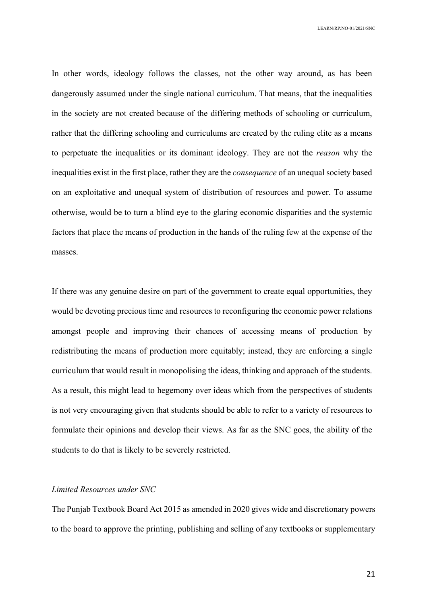In other words, ideology follows the classes, not the other way around, as has been dangerously assumed under the single national curriculum. That means, that the inequalities in the society are not created because of the differing methods of schooling or curriculum, rather that the differing schooling and curriculums are created by the ruling elite as a means to perpetuate the inequalities or its dominant ideology. They are not the *reason* why the inequalities exist in the first place, rather they are the *consequence* of an unequal society based on an exploitative and unequal system of distribution of resources and power. To assume otherwise, would be to turn a blind eye to the glaring economic disparities and the systemic factors that place the means of production in the hands of the ruling few at the expense of the masses.

If there was any genuine desire on part of the government to create equal opportunities, they would be devoting precious time and resources to reconfiguring the economic power relations amongst people and improving their chances of accessing means of production by redistributing the means of production more equitably; instead, they are enforcing a single curriculum that would result in monopolising the ideas, thinking and approach of the students. As a result, this might lead to hegemony over ideas which from the perspectives of students is not very encouraging given that students should be able to refer to a variety of resources to formulate their opinions and develop their views. As far as the SNC goes, the ability of the students to do that is likely to be severely restricted.

#### *Limited Resources under SNC*

The Punjab Textbook Board Act 2015 as amended in 2020 gives wide and discretionary powers to the board to approve the printing, publishing and selling of any textbooks or supplementary

21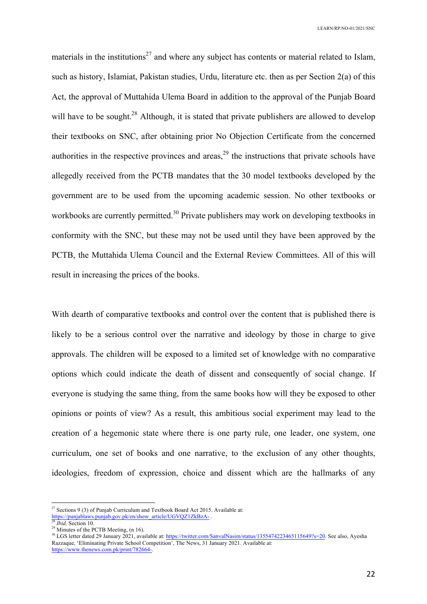materials in the institutions<sup>27</sup> and where any subject has contents or material related to Islam, such as history, Islamiat, Pakistan studies, Urdu, literature etc. then as per Section 2(a) of this Act, the approval of Muttahida Ulema Board in addition to the approval of the Punjab Board will have to be sought.<sup>28</sup> Although, it is stated that private publishers are allowed to develop their textbooks on SNC, after obtaining prior No Objection Certificate from the concerned authorities in the respective provinces and areas,  $2<sup>9</sup>$  the instructions that private schools have allegedly received from the PCTB mandates that the 30 model textbooks developed by the government are to be used from the upcoming academic session. No other textbooks or workbooks are currently permitted.<sup>30</sup> Private publishers may work on developing textbooks in conformity with the SNC, but these may not be used until they have been approved by the PCTB, the Muttahida Ulema Council and the External Review Committees. All of this will result in increasing the prices of the books.

With dearth of comparative textbooks and control over the content that is published there is likely to be a serious control over the narrative and ideology by those in charge to give approvals. The children will be exposed to a limited set of knowledge with no comparative options which could indicate the death of dissent and consequently of social change. If everyone is studying the same thing, from the same books how will they be exposed to other opinions or points of view? As a result, this ambitious social experiment may lead to the creation of a hegemonic state where there is one party rule, one leader, one system, one curriculum, one set of books and one narrative, to the exclusion of any other thoughts, ideologies, freedom of expression, choice and dissent which are the hallmarks of any

 $^{29}$  Minutes of the PCTB Meeting, (n 16).

 $27$  Sections 9 (3) of Punjab Curriculum and Textbook Board Act 2015. Available at: https://punjablaws.punjab.gov.pk/en/show\_article/UGVQZ1ZkBzA- .

*Ibid.* Section 10.

<sup>&</sup>lt;sup>30</sup> LGS letter dated 29 January 2021, available at: https://twitter.com/SanvalNasim/status/1355474223465115649?s=20. See also, Ayesha Razzaque, 'Eliminating Private School Competition', The News, 31 January 2021. Available at: https://www.thenews.com.pk/print/782664-.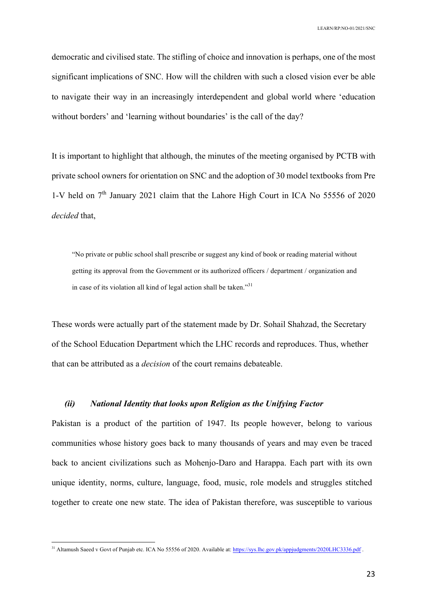democratic and civilised state. The stifling of choice and innovation is perhaps, one of the most significant implications of SNC. How will the children with such a closed vision ever be able to navigate their way in an increasingly interdependent and global world where 'education without borders' and 'learning without boundaries' is the call of the day?

It is important to highlight that although, the minutes of the meeting organised by PCTB with private school owners for orientation on SNC and the adoption of 30 model textbooks from Pre 1-V held on  $7<sup>th</sup>$  January 2021 claim that the Lahore High Court in ICA No 55556 of 2020 *decided* that,

"No private or public school shall prescribe or suggest any kind of book or reading material without getting its approval from the Government or its authorized officers / department / organization and in case of its violation all kind of legal action shall be taken."<sup>31</sup>

These words were actually part of the statement made by Dr. Sohail Shahzad, the Secretary of the School Education Department which the LHC records and reproduces. Thus, whether that can be attributed as a *decision* of the court remains debateable.

## *(ii) National Identity that looks upon Religion as the Unifying Factor*

Pakistan is a product of the partition of 1947. Its people however, belong to various communities whose history goes back to many thousands of years and may even be traced back to ancient civilizations such as Mohenjo-Daro and Harappa. Each part with its own unique identity, norms, culture, language, food, music, role models and struggles stitched together to create one new state. The idea of Pakistan therefore, was susceptible to various

<sup>&</sup>lt;sup>31</sup> Altamush Saeed v Govt of Punjab etc. ICA No 55556 of 2020. Available at: https://sys.lhc.gov.pk/appjudgments/2020LHC3336.pdf.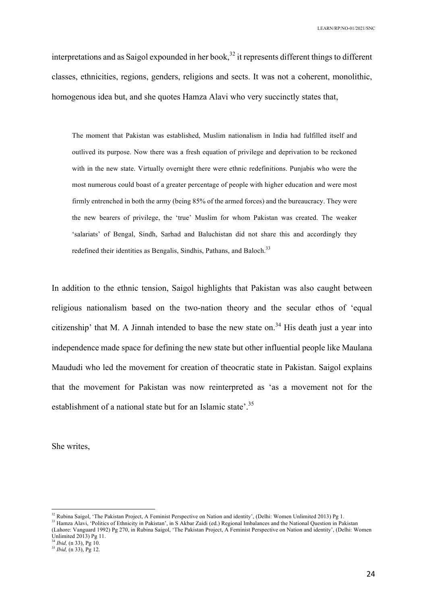interpretations and as Saigol expounded in her book,  $32$  it represents different things to different classes, ethnicities, regions, genders, religions and sects. It was not a coherent, monolithic, homogenous idea but, and she quotes Hamza Alavi who very succinctly states that,

The moment that Pakistan was established, Muslim nationalism in India had fulfilled itself and outlived its purpose. Now there was a fresh equation of privilege and deprivation to be reckoned with in the new state. Virtually overnight there were ethnic redefinitions. Punjabis who were the most numerous could boast of a greater percentage of people with higher education and were most firmly entrenched in both the army (being 85% of the armed forces) and the bureaucracy. They were the new bearers of privilege, the 'true' Muslim for whom Pakistan was created. The weaker 'salariats' of Bengal, Sindh, Sarhad and Baluchistan did not share this and accordingly they redefined their identities as Bengalis, Sindhis, Pathans, and Baloch.<sup>33</sup>

In addition to the ethnic tension, Saigol highlights that Pakistan was also caught between religious nationalism based on the two-nation theory and the secular ethos of 'equal citizenship' that M. A Jinnah intended to base the new state on.<sup>34</sup> His death just a year into independence made space for defining the new state but other influential people like Maulana Maududi who led the movement for creation of theocratic state in Pakistan. Saigol explains that the movement for Pakistan was now reinterpreted as 'as a movement not for the establishment of a national state but for an Islamic state'.<sup>35</sup>

She writes,

<sup>&</sup>lt;sup>32</sup> Rubina Saigol, 'The Pakistan Project, A Feminist Perspective on Nation and identity', (Delhi: Women Unlimited 2013) Pg 1.

<sup>&</sup>lt;sup>33</sup> Hamza Alavi, 'Politics of Ethnicity in Pakistan', in S Akbar Zaidi (ed.) Regional Imbalances and the National Question in Pakistan (Lahore: Vanguard 1992) Pg 270, in Rubina Saigol, 'The Pakistan Project, A Feminist Perspective on Nation and identity', (Delhi: Women Unlimited 2013) Pg 11.

<sup>34</sup> *Ibid,* (n 33), Pg 10.

<sup>35</sup> *Ibid,* (n 33), Pg 12.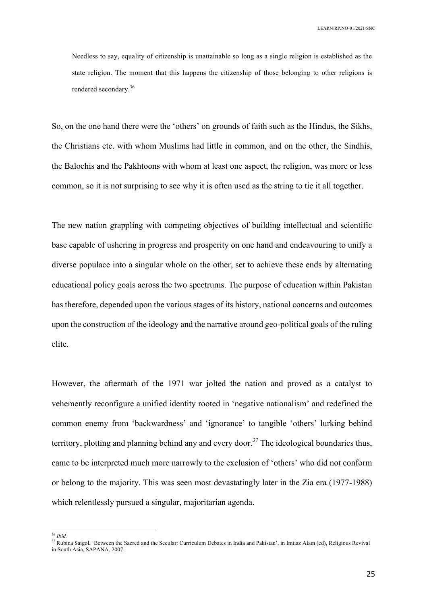Needless to say, equality of citizenship is unattainable so long as a single religion is established as the state religion. The moment that this happens the citizenship of those belonging to other religions is rendered secondary.<sup>36</sup>

So, on the one hand there were the 'others' on grounds of faith such as the Hindus, the Sikhs, the Christians etc. with whom Muslims had little in common, and on the other, the Sindhis, the Balochis and the Pakhtoons with whom at least one aspect, the religion, was more or less common, so it is not surprising to see why it is often used as the string to tie it all together.

The new nation grappling with competing objectives of building intellectual and scientific base capable of ushering in progress and prosperity on one hand and endeavouring to unify a diverse populace into a singular whole on the other, set to achieve these ends by alternating educational policy goals across the two spectrums. The purpose of education within Pakistan has therefore, depended upon the various stages of its history, national concerns and outcomes upon the construction of the ideology and the narrative around geo-political goals of the ruling elite.

However, the aftermath of the 1971 war jolted the nation and proved as a catalyst to vehemently reconfigure a unified identity rooted in 'negative nationalism' and redefined the common enemy from 'backwardness' and 'ignorance' to tangible 'others' lurking behind territory, plotting and planning behind any and every door.<sup>37</sup> The ideological boundaries thus, came to be interpreted much more narrowly to the exclusion of 'others' who did not conform or belong to the majority. This was seen most devastatingly later in the Zia era (1977-1988) which relentlessly pursued a singular, majoritarian agenda.

 <sup>36</sup> *Ibid.*

<sup>&</sup>lt;sup>37</sup> Rubina Saigol, 'Between the Sacred and the Secular: Curriculum Debates in India and Pakistan', in Imtiaz Alam (ed), Religious Revival

in South Asia, SAPANA, 2007.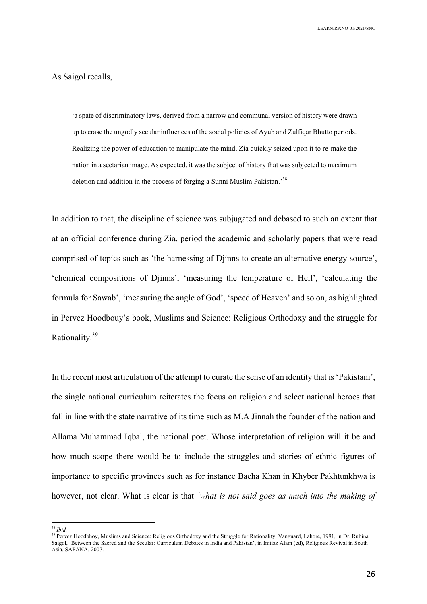### As Saigol recalls,

'a spate of discriminatory laws, derived from a narrow and communal version of history were drawn up to erase the ungodly secular influences of the social policies of Ayub and Zulfiqar Bhutto periods. Realizing the power of education to manipulate the mind, Zia quickly seized upon it to re-make the nation in a sectarian image. As expected, it was the subject of history that was subjected to maximum deletion and addition in the process of forging a Sunni Muslim Pakistan.<sup>38</sup>

In addition to that, the discipline of science was subjugated and debased to such an extent that at an official conference during Zia, period the academic and scholarly papers that were read comprised of topics such as 'the harnessing of Djinns to create an alternative energy source', 'chemical compositions of Djinns', 'measuring the temperature of Hell', 'calculating the formula for Sawab', 'measuring the angle of God', 'speed of Heaven' and so on, as highlighted in Pervez Hoodbouy's book, Muslims and Science: Religious Orthodoxy and the struggle for Rationality.<sup>39</sup>

In the recent most articulation of the attempt to curate the sense of an identity that is 'Pakistani', the single national curriculum reiterates the focus on religion and select national heroes that fall in line with the state narrative of its time such as M.A Jinnah the founder of the nation and Allama Muhammad Iqbal, the national poet. Whose interpretation of religion will it be and how much scope there would be to include the struggles and stories of ethnic figures of importance to specific provinces such as for instance Bacha Khan in Khyber Pakhtunkhwa is however, not clear. What is clear is that *'what is not said goes as much into the making of* 

 <sup>38</sup> *Ibid.*

<sup>&</sup>lt;sup>39</sup> Pervez Hoodbhoy, Muslims and Science: Religious Orthodoxy and the Struggle for Rationality. Vanguard, Lahore, 1991, in Dr. Rubina Saigol, 'Between the Sacred and the Secular: Curriculum Debates in India and Pakistan', in Imtiaz Alam (ed), Religious Revival in South Asia, SAPANA, 2007.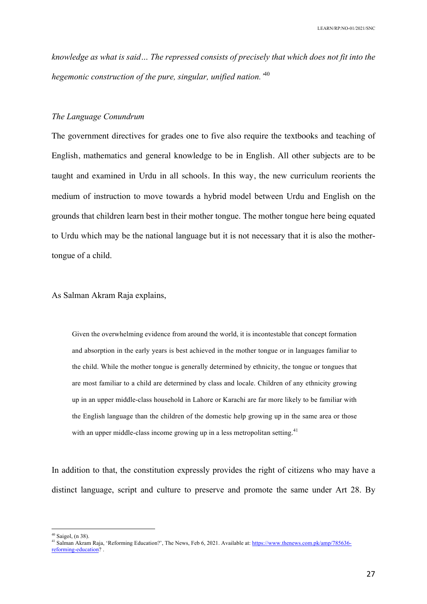*knowledge as what is said… The repressed consists of precisely that which does not fit into the hegemonic construction of the pure, singular, unified nation.'*<sup>40</sup>

### *The Language Conundrum*

The government directives for grades one to five also require the textbooks and teaching of English, mathematics and general knowledge to be in English. All other subjects are to be taught and examined in Urdu in all schools. In this way, the new curriculum reorients the medium of instruction to move towards a hybrid model between Urdu and English on the grounds that children learn best in their mother tongue. The mother tongue here being equated to Urdu which may be the national language but it is not necessary that it is also the mothertongue of a child.

## As Salman Akram Raja explains,

Given the overwhelming evidence from around the world, it is incontestable that concept formation and absorption in the early years is best achieved in the mother tongue or in languages familiar to the child. While the mother tongue is generally determined by ethnicity, the tongue or tongues that are most familiar to a child are determined by class and locale. Children of any ethnicity growing up in an upper middle-class household in Lahore or Karachi are far more likely to be familiar with the English language than the children of the domestic help growing up in the same area or those with an upper middle-class income growing up in a less metropolitan setting.<sup>41</sup>

In addition to that, the constitution expressly provides the right of citizens who may have a distinct language, script and culture to preserve and promote the same under Art 28. By

 $40$  Saigol, (n 38).

<sup>41</sup> Salman Akram Raja, 'Reforming Education?', The News, Feb 6, 2021. Available at: https://www.thenews.com.pk/amp/785636-

reforming-education? .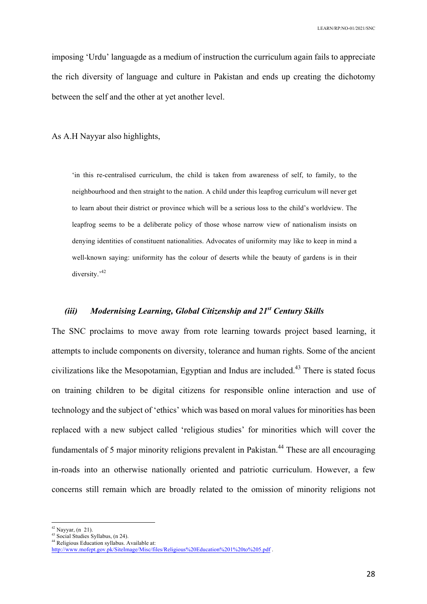imposing 'Urdu' languagde as a medium of instruction the curriculum again fails to appreciate the rich diversity of language and culture in Pakistan and ends up creating the dichotomy between the self and the other at yet another level.

As A.H Nayyar also highlights,

'in this re-centralised curriculum, the child is taken from awareness of self, to family, to the neighbourhood and then straight to the nation. A child under this leapfrog curriculum will never get to learn about their district or province which will be a serious loss to the child's worldview. The leapfrog seems to be a deliberate policy of those whose narrow view of nationalism insists on denying identities of constituent nationalities. Advocates of uniformity may like to keep in mind a well-known saying: uniformity has the colour of deserts while the beauty of gardens is in their diversity.<sup>42</sup>

## *(iii) Modernising Learning, Global Citizenship and 21st Century Skills*

The SNC proclaims to move away from rote learning towards project based learning, it attempts to include components on diversity, tolerance and human rights. Some of the ancient civilizations like the Mesopotamian, Egyptian and Indus are included.<sup>43</sup> There is stated focus on training children to be digital citizens for responsible online interaction and use of technology and the subject of 'ethics' which was based on moral values for minorities has been replaced with a new subject called 'religious studies' for minorities which will cover the fundamentals of 5 major minority religions prevalent in Pakistan.<sup>44</sup> These are all encouraging in-roads into an otherwise nationally oriented and patriotic curriculum. However, a few concerns still remain which are broadly related to the omission of minority religions not

 $42$  Nayyar, (n 21).

<sup>43</sup> Social Studies Syllabus, (n 24).

<sup>44</sup> Religious Education syllabus. Available at:

http://www.mofept.gov.pk/SiteImage/Misc/files/Religious%20Education%201%20to%205.pdf .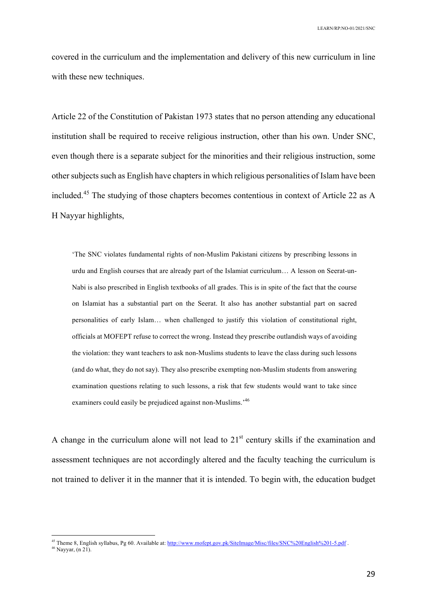covered in the curriculum and the implementation and delivery of this new curriculum in line with these new techniques.

Article 22 of the Constitution of Pakistan 1973 states that no person attending any educational institution shall be required to receive religious instruction, other than his own. Under SNC, even though there is a separate subject for the minorities and their religious instruction, some other subjects such as English have chapters in which religious personalities of Islam have been included.<sup>45</sup> The studying of those chapters becomes contentious in context of Article 22 as A H Nayyar highlights,

'The SNC violates fundamental rights of non-Muslim Pakistani citizens by prescribing lessons in urdu and English courses that are already part of the Islamiat curriculum… A lesson on Seerat-un-Nabi is also prescribed in English textbooks of all grades. This is in spite of the fact that the course on Islamiat has a substantial part on the Seerat. It also has another substantial part on sacred personalities of early Islam… when challenged to justify this violation of constitutional right, officials at MOFEPT refuse to correct the wrong. Instead they prescribe outlandish ways of avoiding the violation: they want teachers to ask non-Muslims students to leave the class during such lessons (and do what, they do not say). They also prescribe exempting non-Muslim students from answering examination questions relating to such lessons, a risk that few students would want to take since examiners could easily be prejudiced against non-Muslims.'46

A change in the curriculum alone will not lead to  $21<sup>st</sup>$  century skills if the examination and assessment techniques are not accordingly altered and the faculty teaching the curriculum is not trained to deliver it in the manner that it is intended. To begin with, the education budget

<sup>45&</sup>lt;br>45 Theme 8, English syllabus, Pg 60. Available at: http://www.mofept.gov.pk/SiteImage/Misc/files/SNC%20English%201-5.pdf

 $46$  Nayyar, (n 21).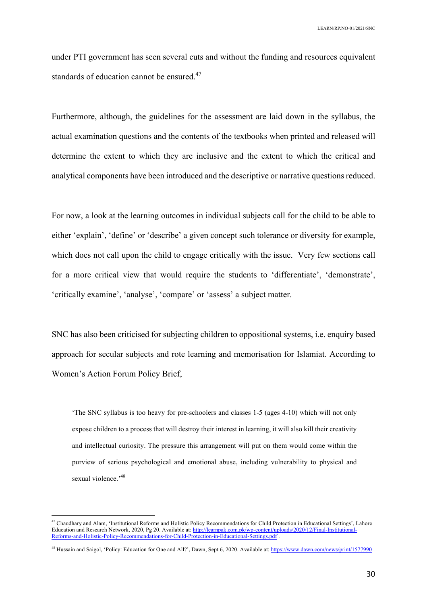under PTI government has seen several cuts and without the funding and resources equivalent standards of education cannot be ensured.<sup>47</sup>

Furthermore, although, the guidelines for the assessment are laid down in the syllabus, the actual examination questions and the contents of the textbooks when printed and released will determine the extent to which they are inclusive and the extent to which the critical and analytical components have been introduced and the descriptive or narrative questions reduced.

For now, a look at the learning outcomes in individual subjects call for the child to be able to either 'explain', 'define' or 'describe' a given concept such tolerance or diversity for example, which does not call upon the child to engage critically with the issue. Very few sections call for a more critical view that would require the students to 'differentiate', 'demonstrate', 'critically examine', 'analyse', 'compare' or 'assess' a subject matter.

SNC has also been criticised for subjecting children to oppositional systems, i.e. enquiry based approach for secular subjects and rote learning and memorisation for Islamiat. According to Women's Action Forum Policy Brief,

'The SNC syllabus is too heavy for pre-schoolers and classes 1-5 (ages 4-10) which will not only expose children to a process that will destroy their interest in learning, it will also kill their creativity and intellectual curiosity. The pressure this arrangement will put on them would come within the purview of serious psychological and emotional abuse, including vulnerability to physical and sexual violence.'48

<sup>&</sup>lt;sup>47</sup> Chaudhary and Alam, 'Institutional Reforms and Holistic Policy Recommendations for Child Protection in Educational Settings', Lahore Education and Research Network, 2020, Pg 20. Available at: http://learnpak.com.pk/wp-content/uploads/2020/12/Final-Institutional-Reforms-and-Holistic-Policy-Recommendations-for-Child-Protection-in-Educational-Settings.pdf .

<sup>&</sup>lt;sup>48</sup> Hussain and Saigol, 'Policy: Education for One and All?', Dawn, Sept 6, 2020. Available at: https://www.dawn.com/news/print/1577990.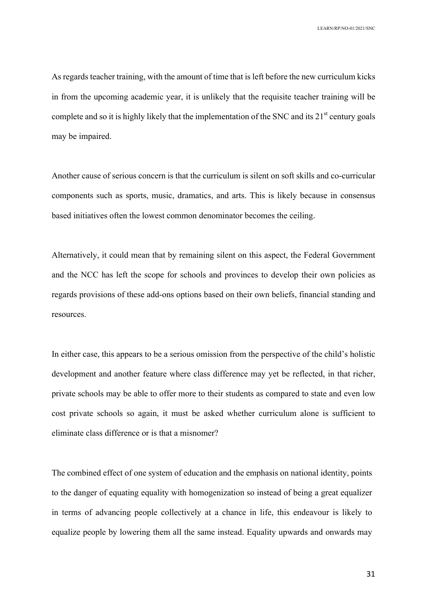As regards teacher training, with the amount of time that is left before the new curriculum kicks in from the upcoming academic year, it is unlikely that the requisite teacher training will be complete and so it is highly likely that the implementation of the SNC and its  $21<sup>st</sup>$  century goals may be impaired.

Another cause of serious concern is that the curriculum is silent on soft skills and co-curricular components such as sports, music, dramatics, and arts. This is likely because in consensus based initiatives often the lowest common denominator becomes the ceiling.

Alternatively, it could mean that by remaining silent on this aspect, the Federal Government and the NCC has left the scope for schools and provinces to develop their own policies as regards provisions of these add-ons options based on their own beliefs, financial standing and resources.

In either case, this appears to be a serious omission from the perspective of the child's holistic development and another feature where class difference may yet be reflected, in that richer, private schools may be able to offer more to their students as compared to state and even low cost private schools so again, it must be asked whether curriculum alone is sufficient to eliminate class difference or is that a misnomer?

The combined effect of one system of education and the emphasis on national identity, points to the danger of equating equality with homogenization so instead of being a great equalizer in terms of advancing people collectively at a chance in life, this endeavour is likely to equalize people by lowering them all the same instead. Equality upwards and onwards may

31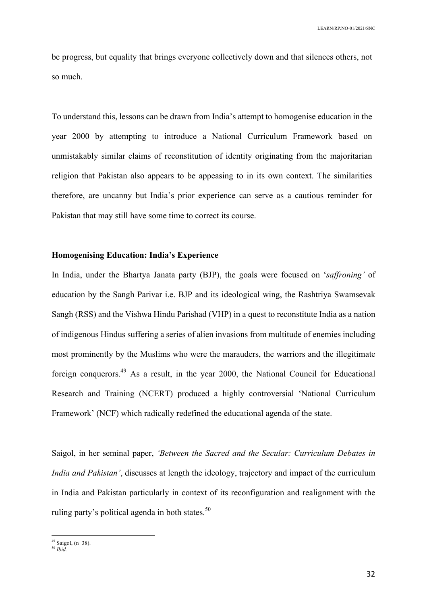be progress, but equality that brings everyone collectively down and that silences others, not so much.

To understand this, lessons can be drawn from India's attempt to homogenise education in the year 2000 by attempting to introduce a National Curriculum Framework based on unmistakably similar claims of reconstitution of identity originating from the majoritarian religion that Pakistan also appears to be appeasing to in its own context. The similarities therefore, are uncanny but India's prior experience can serve as a cautious reminder for Pakistan that may still have some time to correct its course.

## **Homogenising Education: India's Experience**

In India, under the Bhartya Janata party (BJP), the goals were focused on '*saffroning'* of education by the Sangh Parivar i.e. BJP and its ideological wing, the Rashtriya Swamsevak Sangh (RSS) and the Vishwa Hindu Parishad (VHP) in a quest to reconstitute India as a nation of indigenous Hindus suffering a series of alien invasions from multitude of enemies including most prominently by the Muslims who were the marauders, the warriors and the illegitimate foreign conquerors.49 As a result, in the year 2000, the National Council for Educational Research and Training (NCERT) produced a highly controversial 'National Curriculum Framework' (NCF) which radically redefined the educational agenda of the state.

Saigol, in her seminal paper, *'Between the Sacred and the Secular: Curriculum Debates in India and Pakistan'*, discusses at length the ideology, trajectory and impact of the curriculum in India and Pakistan particularly in context of its reconfiguration and realignment with the ruling party's political agenda in both states. $50$ 

 $49$  Saigol, (n 38).

<sup>50</sup> *Ibid.*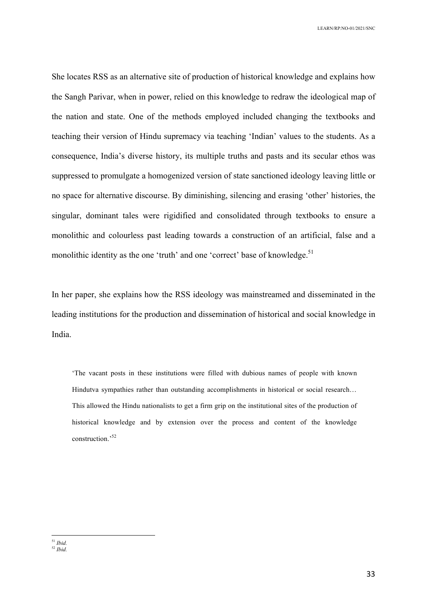She locates RSS as an alternative site of production of historical knowledge and explains how the Sangh Parivar, when in power, relied on this knowledge to redraw the ideological map of the nation and state. One of the methods employed included changing the textbooks and teaching their version of Hindu supremacy via teaching 'Indian' values to the students. As a consequence, India's diverse history, its multiple truths and pasts and its secular ethos was suppressed to promulgate a homogenized version of state sanctioned ideology leaving little or no space for alternative discourse. By diminishing, silencing and erasing 'other' histories, the singular, dominant tales were rigidified and consolidated through textbooks to ensure a monolithic and colourless past leading towards a construction of an artificial, false and a monolithic identity as the one 'truth' and one 'correct' base of knowledge.<sup>51</sup>

In her paper, she explains how the RSS ideology was mainstreamed and disseminated in the leading institutions for the production and dissemination of historical and social knowledge in India.

'The vacant posts in these institutions were filled with dubious names of people with known Hindutva sympathies rather than outstanding accomplishments in historical or social research… This allowed the Hindu nationalists to get a firm grip on the institutional sites of the production of historical knowledge and by extension over the process and content of the knowledge construction.'52

 <sup>51</sup> *Ibid.* <sup>52</sup> *Ibid.*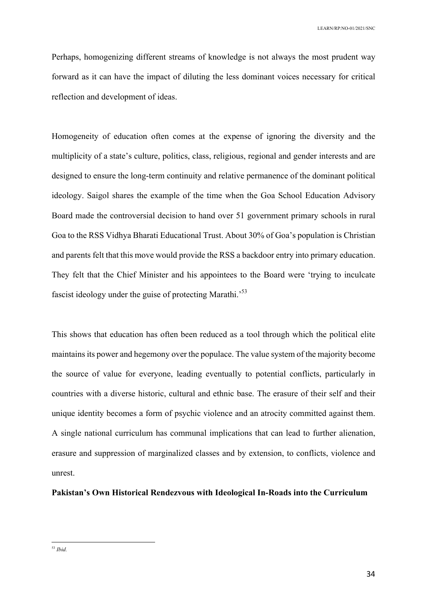Perhaps, homogenizing different streams of knowledge is not always the most prudent way forward as it can have the impact of diluting the less dominant voices necessary for critical reflection and development of ideas.

Homogeneity of education often comes at the expense of ignoring the diversity and the multiplicity of a state's culture, politics, class, religious, regional and gender interests and are designed to ensure the long-term continuity and relative permanence of the dominant political ideology. Saigol shares the example of the time when the Goa School Education Advisory Board made the controversial decision to hand over 51 government primary schools in rural Goa to the RSS Vidhya Bharati Educational Trust. About 30% of Goa's population is Christian and parents felt that this move would provide the RSS a backdoor entry into primary education. They felt that the Chief Minister and his appointees to the Board were 'trying to inculcate fascist ideology under the guise of protecting Marathi.<sup>53</sup>

This shows that education has often been reduced as a tool through which the political elite maintains its power and hegemony over the populace. The value system of the majority become the source of value for everyone, leading eventually to potential conflicts, particularly in countries with a diverse historic, cultural and ethnic base. The erasure of their self and their unique identity becomes a form of psychic violence and an atrocity committed against them. A single national curriculum has communal implications that can lead to further alienation, erasure and suppression of marginalized classes and by extension, to conflicts, violence and unrest.

## **Pakistan's Own Historical Rendezvous with Ideological In-Roads into the Curriculum**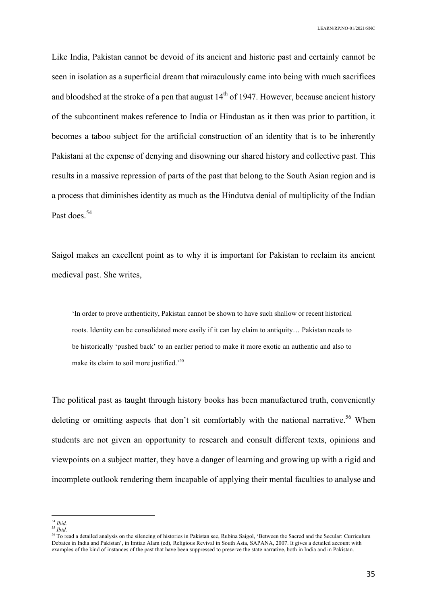Like India, Pakistan cannot be devoid of its ancient and historic past and certainly cannot be seen in isolation as a superficial dream that miraculously came into being with much sacrifices and bloodshed at the stroke of a pen that august  $14<sup>th</sup>$  of 1947. However, because ancient history of the subcontinent makes reference to India or Hindustan as it then was prior to partition, it becomes a taboo subject for the artificial construction of an identity that is to be inherently Pakistani at the expense of denying and disowning our shared history and collective past. This results in a massive repression of parts of the past that belong to the South Asian region and is a process that diminishes identity as much as the Hindutva denial of multiplicity of the Indian Past does.<sup>54</sup>

Saigol makes an excellent point as to why it is important for Pakistan to reclaim its ancient medieval past. She writes,

'In order to prove authenticity, Pakistan cannot be shown to have such shallow or recent historical roots. Identity can be consolidated more easily if it can lay claim to antiquity… Pakistan needs to be historically 'pushed back' to an earlier period to make it more exotic an authentic and also to make its claim to soil more justified.<sup>555</sup>

The political past as taught through history books has been manufactured truth, conveniently deleting or omitting aspects that don't sit comfortably with the national narrative.<sup>56</sup> When students are not given an opportunity to research and consult different texts, opinions and viewpoints on a subject matter, they have a danger of learning and growing up with a rigid and incomplete outlook rendering them incapable of applying their mental faculties to analyse and

 <sup>54</sup> *Ibid.*

<sup>55</sup> *Ibid.*

<sup>56</sup> To read a detailed analysis on the silencing of histories in Pakistan see, Rubina Saigol, 'Between the Sacred and the Secular: Curriculum Debates in India and Pakistan', in Imtiaz Alam (ed), Religious Revival in South Asia, SAPANA, 2007. It gives a detailed account with examples of the kind of instances of the past that have been suppressed to preserve the state narrative, both in India and in Pakistan.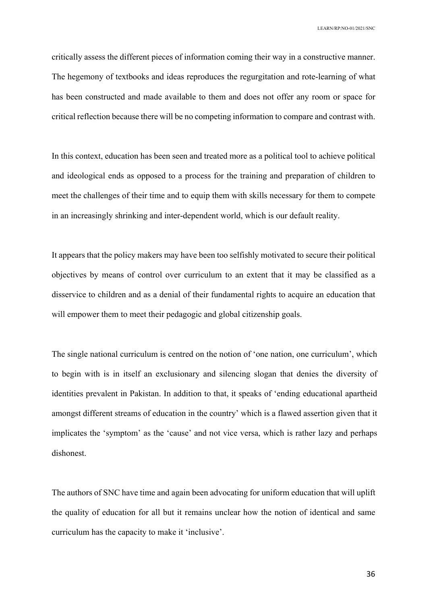critically assess the different pieces of information coming their way in a constructive manner. The hegemony of textbooks and ideas reproduces the regurgitation and rote-learning of what has been constructed and made available to them and does not offer any room or space for critical reflection because there will be no competing information to compare and contrast with.

In this context, education has been seen and treated more as a political tool to achieve political and ideological ends as opposed to a process for the training and preparation of children to meet the challenges of their time and to equip them with skills necessary for them to compete in an increasingly shrinking and inter-dependent world, which is our default reality.

It appears that the policy makers may have been too selfishly motivated to secure their political objectives by means of control over curriculum to an extent that it may be classified as a disservice to children and as a denial of their fundamental rights to acquire an education that will empower them to meet their pedagogic and global citizenship goals.

The single national curriculum is centred on the notion of 'one nation, one curriculum', which to begin with is in itself an exclusionary and silencing slogan that denies the diversity of identities prevalent in Pakistan. In addition to that, it speaks of 'ending educational apartheid amongst different streams of education in the country' which is a flawed assertion given that it implicates the 'symptom' as the 'cause' and not vice versa, which is rather lazy and perhaps dishonest.

The authors of SNC have time and again been advocating for uniform education that will uplift the quality of education for all but it remains unclear how the notion of identical and same curriculum has the capacity to make it 'inclusive'.

36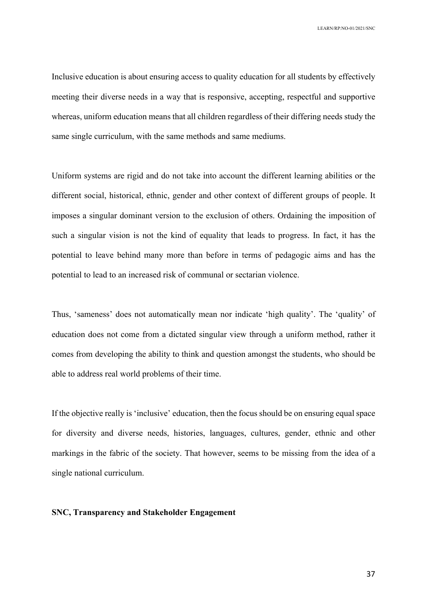Inclusive education is about ensuring access to quality education for all students by effectively meeting their diverse needs in a way that is responsive, accepting, respectful and supportive whereas, uniform education means that all children regardless of their differing needs study the same single curriculum, with the same methods and same mediums.

Uniform systems are rigid and do not take into account the different learning abilities or the different social, historical, ethnic, gender and other context of different groups of people. It imposes a singular dominant version to the exclusion of others. Ordaining the imposition of such a singular vision is not the kind of equality that leads to progress. In fact, it has the potential to leave behind many more than before in terms of pedagogic aims and has the potential to lead to an increased risk of communal or sectarian violence.

Thus, 'sameness' does not automatically mean nor indicate 'high quality'. The 'quality' of education does not come from a dictated singular view through a uniform method, rather it comes from developing the ability to think and question amongst the students, who should be able to address real world problems of their time.

If the objective really is 'inclusive' education, then the focus should be on ensuring equal space for diversity and diverse needs, histories, languages, cultures, gender, ethnic and other markings in the fabric of the society. That however, seems to be missing from the idea of a single national curriculum.

## **SNC, Transparency and Stakeholder Engagement**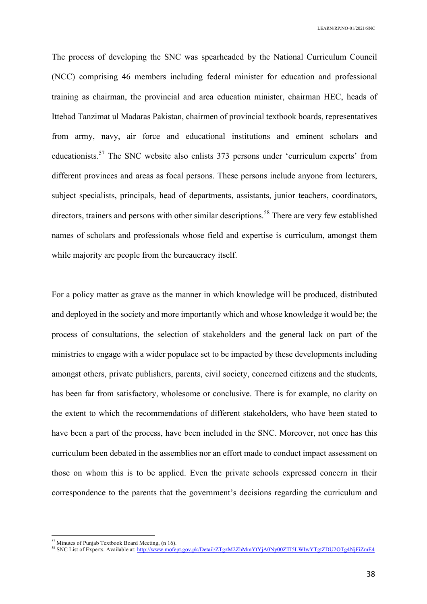The process of developing the SNC was spearheaded by the National Curriculum Council (NCC) comprising 46 members including federal minister for education and professional training as chairman, the provincial and area education minister, chairman HEC, heads of Ittehad Tanzimat ul Madaras Pakistan, chairmen of provincial textbook boards, representatives from army, navy, air force and educational institutions and eminent scholars and educationists.<sup>57</sup> The SNC website also enlists 373 persons under 'curriculum experts' from different provinces and areas as focal persons. These persons include anyone from lecturers, subject specialists, principals, head of departments, assistants, junior teachers, coordinators, directors, trainers and persons with other similar descriptions.<sup>58</sup> There are very few established names of scholars and professionals whose field and expertise is curriculum, amongst them while majority are people from the bureaucracy itself.

For a policy matter as grave as the manner in which knowledge will be produced, distributed and deployed in the society and more importantly which and whose knowledge it would be; the process of consultations, the selection of stakeholders and the general lack on part of the ministries to engage with a wider populace set to be impacted by these developments including amongst others, private publishers, parents, civil society, concerned citizens and the students, has been far from satisfactory, wholesome or conclusive. There is for example, no clarity on the extent to which the recommendations of different stakeholders, who have been stated to have been a part of the process, have been included in the SNC. Moreover, not once has this curriculum been debated in the assemblies nor an effort made to conduct impact assessment on those on whom this is to be applied. Even the private schools expressed concern in their correspondence to the parents that the government's decisions regarding the curriculum and

 <sup>57</sup> Minutes of Punjab Textbook Board Meeting, (n 16).

<sup>&</sup>lt;sup>58</sup> SNC List of Experts. Available at: http://www.mofept.gov.pk/Detail/ZTgzM2ZhMmYtYjA0Ny00ZTI5LWIwYTgtZDU2OTg4NjFiZmE4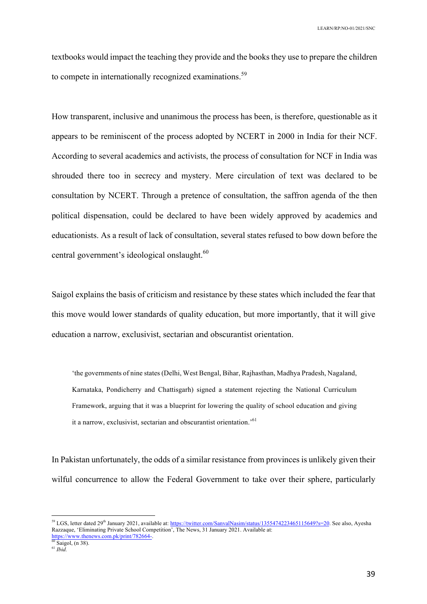textbooks would impact the teaching they provide and the books they use to prepare the children to compete in internationally recognized examinations.<sup>59</sup>

How transparent, inclusive and unanimous the process has been, is therefore, questionable as it appears to be reminiscent of the process adopted by NCERT in 2000 in India for their NCF. According to several academics and activists, the process of consultation for NCF in India was shrouded there too in secrecy and mystery. Mere circulation of text was declared to be consultation by NCERT. Through a pretence of consultation, the saffron agenda of the then political dispensation, could be declared to have been widely approved by academics and educationists. As a result of lack of consultation, several states refused to bow down before the central government's ideological onslaught.<sup>60</sup>

Saigol explains the basis of criticism and resistance by these states which included the fear that this move would lower standards of quality education, but more importantly, that it will give education a narrow, exclusivist, sectarian and obscurantist orientation.

'the governments of nine states (Delhi, West Bengal, Bihar, Rajhasthan, Madhya Pradesh, Nagaland, Karnataka, Pondicherry and Chattisgarh) signed a statement rejecting the National Curriculum Framework, arguing that it was a blueprint for lowering the quality of school education and giving it a narrow, exclusivist, sectarian and obscurantist orientation.'<sup>61</sup>

In Pakistan unfortunately, the odds of a similar resistance from provinces is unlikely given their wilful concurrence to allow the Federal Government to take over their sphere, particularly

<sup>&</sup>lt;sup>59</sup> LGS, letter dated 29<sup>th</sup> January 2021, available at: https://twitter.com/SanvalNasim/status/1355474223465115649?s=20. See also, Ayesha Razzaque, 'Eliminating Private School Competition', The News, 31 January 2021. Available at: https://www.thenews.com.pk/print/782664-.<br>  $\frac{60 \text{ Saigol}}{60 \text{ Saigol}}$ , (n 38).

<sup>61</sup> *Ibid.*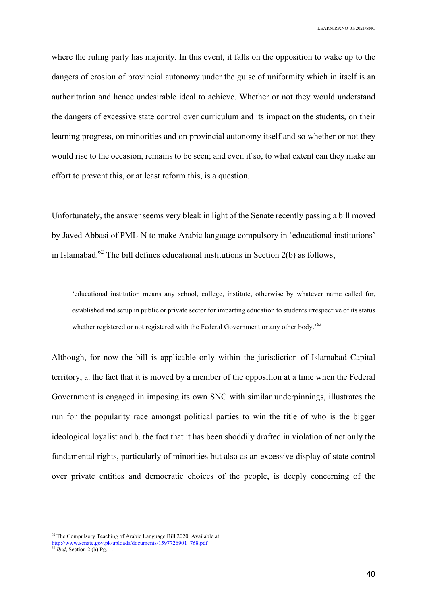where the ruling party has majority. In this event, it falls on the opposition to wake up to the dangers of erosion of provincial autonomy under the guise of uniformity which in itself is an authoritarian and hence undesirable ideal to achieve. Whether or not they would understand the dangers of excessive state control over curriculum and its impact on the students, on their learning progress, on minorities and on provincial autonomy itself and so whether or not they would rise to the occasion, remains to be seen; and even if so, to what extent can they make an effort to prevent this, or at least reform this, is a question.

Unfortunately, the answer seems very bleak in light of the Senate recently passing a bill moved by Javed Abbasi of PML-N to make Arabic language compulsory in 'educational institutions' in Islamabad.<sup>62</sup> The bill defines educational institutions in Section 2(b) as follows,

'educational institution means any school, college, institute, otherwise by whatever name called for, established and setup in public or private sector for imparting education to students irrespective of its status whether registered or not registered with the Federal Government or any other body.<sup>563</sup>

Although, for now the bill is applicable only within the jurisdiction of Islamabad Capital territory, a. the fact that it is moved by a member of the opposition at a time when the Federal Government is engaged in imposing its own SNC with similar underpinnings, illustrates the run for the popularity race amongst political parties to win the title of who is the bigger ideological loyalist and b. the fact that it has been shoddily drafted in violation of not only the fundamental rights, particularly of minorities but also as an excessive display of state control over private entities and democratic choices of the people, is deeply concerning of the

<sup>&</sup>lt;sup>62</sup> The Compulsory Teaching of Arabic Language Bill 2020. Available at: http://www.senate.gov.pk/uploads/documents/1597726901\_768.pdf

<sup>63</sup> *Ibid*, Section 2 (b) Pg. 1.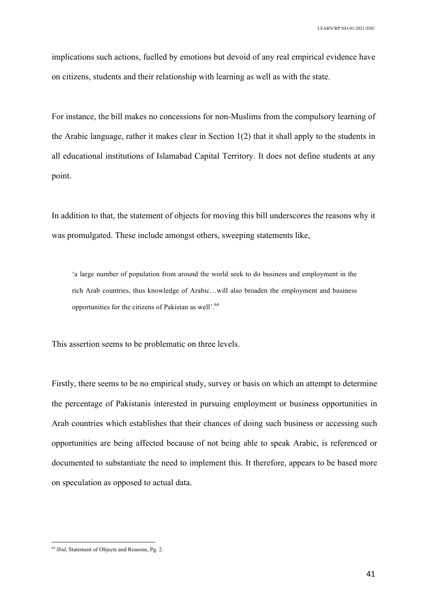implications such actions, fuelled by emotions but devoid of any real empirical evidence have on citizens, students and their relationship with learning as well as with the state.

For instance, the bill makes no concessions for non-Muslims from the compulsory learning of the Arabic language, rather it makes clear in Section 1(2) that it shall apply to the students in all educational institutions of Islamabad Capital Territory. It does not define students at any point.

In addition to that, the statement of objects for moving this bill underscores the reasons why it was promulgated. These include amongst others, sweeping statements like,

'a large number of population from around the world seek to do business and employment in the rich Arab countries, thus knowledge of Arabic…will also broaden the employment and business opportunities for the citizens of Pakistan as well'.<sup>64</sup>

This assertion seems to be problematic on three levels.

Firstly, there seems to be no empirical study, survey or basis on which an attempt to determine the percentage of Pakistanis interested in pursuing employment or business opportunities in Arab countries which establishes that their chances of doing such business or accessing such opportunities are being affected because of not being able to speak Arabic, is referenced or documented to substantiate the need to implement this. It therefore, appears to be based more on speculation as opposed to actual data.

 <sup>64</sup> *Ibid*, Statement of Objects and Reasons, Pg. 2.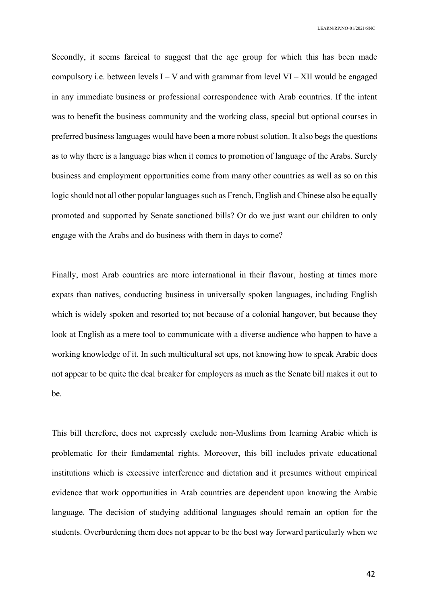Secondly, it seems farcical to suggest that the age group for which this has been made compulsory i.e. between levels  $I - V$  and with grammar from level  $VI - XII$  would be engaged in any immediate business or professional correspondence with Arab countries. If the intent was to benefit the business community and the working class, special but optional courses in preferred business languages would have been a more robust solution. It also begs the questions as to why there is a language bias when it comes to promotion of language of the Arabs. Surely business and employment opportunities come from many other countries as well as so on this logic should not all other popular languages such as French, English and Chinese also be equally promoted and supported by Senate sanctioned bills? Or do we just want our children to only engage with the Arabs and do business with them in days to come?

Finally, most Arab countries are more international in their flavour, hosting at times more expats than natives, conducting business in universally spoken languages, including English which is widely spoken and resorted to; not because of a colonial hangover, but because they look at English as a mere tool to communicate with a diverse audience who happen to have a working knowledge of it. In such multicultural set ups, not knowing how to speak Arabic does not appear to be quite the deal breaker for employers as much as the Senate bill makes it out to be.

This bill therefore, does not expressly exclude non-Muslims from learning Arabic which is problematic for their fundamental rights. Moreover, this bill includes private educational institutions which is excessive interference and dictation and it presumes without empirical evidence that work opportunities in Arab countries are dependent upon knowing the Arabic language. The decision of studying additional languages should remain an option for the students. Overburdening them does not appear to be the best way forward particularly when we

42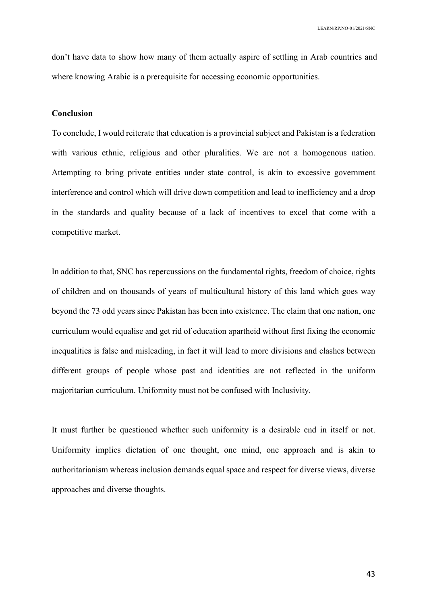don't have data to show how many of them actually aspire of settling in Arab countries and where knowing Arabic is a prerequisite for accessing economic opportunities.

### **Conclusion**

To conclude, I would reiterate that education is a provincial subject and Pakistan is a federation with various ethnic, religious and other pluralities. We are not a homogenous nation. Attempting to bring private entities under state control, is akin to excessive government interference and control which will drive down competition and lead to inefficiency and a drop in the standards and quality because of a lack of incentives to excel that come with a competitive market.

In addition to that, SNC has repercussions on the fundamental rights, freedom of choice, rights of children and on thousands of years of multicultural history of this land which goes way beyond the 73 odd years since Pakistan has been into existence. The claim that one nation, one curriculum would equalise and get rid of education apartheid without first fixing the economic inequalities is false and misleading, in fact it will lead to more divisions and clashes between different groups of people whose past and identities are not reflected in the uniform majoritarian curriculum. Uniformity must not be confused with Inclusivity.

It must further be questioned whether such uniformity is a desirable end in itself or not. Uniformity implies dictation of one thought, one mind, one approach and is akin to authoritarianism whereas inclusion demands equal space and respect for diverse views, diverse approaches and diverse thoughts.